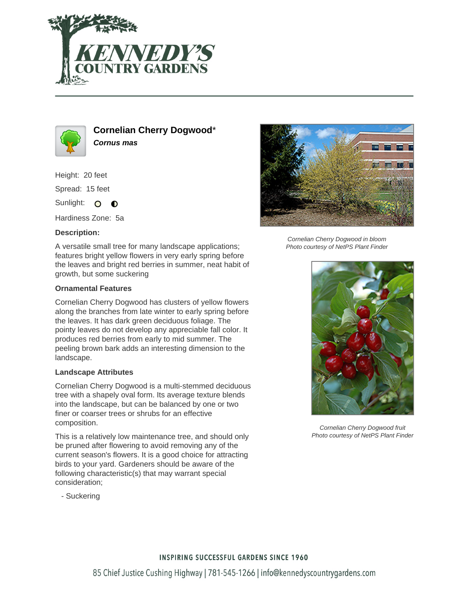



**Cornelian Cherry Dogwood**\* **Cornus mas**

Height: 20 feet

Spread: 15 feet

Sunlight: O  $\bullet$ 

Hardiness Zone: 5a

## **Description:**

A versatile small tree for many landscape applications; features bright yellow flowers in very early spring before the leaves and bright red berries in summer, neat habit of growth, but some suckering

## **Ornamental Features**

Cornelian Cherry Dogwood has clusters of yellow flowers along the branches from late winter to early spring before the leaves. It has dark green deciduous foliage. The pointy leaves do not develop any appreciable fall color. It produces red berries from early to mid summer. The peeling brown bark adds an interesting dimension to the landscape.

## **Landscape Attributes**

Cornelian Cherry Dogwood is a multi-stemmed deciduous tree with a shapely oval form. Its average texture blends into the landscape, but can be balanced by one or two finer or coarser trees or shrubs for an effective composition.

This is a relatively low maintenance tree, and should only be pruned after flowering to avoid removing any of the current season's flowers. It is a good choice for attracting birds to your yard. Gardeners should be aware of the following characteristic(s) that may warrant special consideration;

- Suckering



Cornelian Cherry Dogwood in bloom Photo courtesy of NetPS Plant Finder



Cornelian Cherry Dogwood fruit Photo courtesy of NetPS Plant Finder